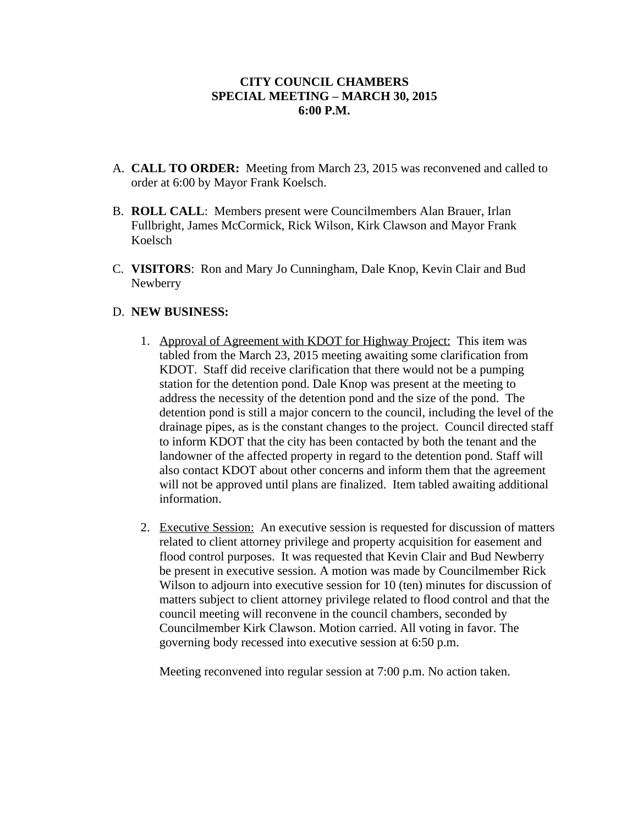## **CITY COUNCIL CHAMBERS SPECIAL MEETING – MARCH 30, 2015 6:00 P.M.**

- A. **CALL TO ORDER:** Meeting from March 23, 2015 was reconvened and called to order at 6:00 by Mayor Frank Koelsch.
- B. **ROLL CALL**: Members present were Councilmembers Alan Brauer, Irlan Fullbright, James McCormick, Rick Wilson, Kirk Clawson and Mayor Frank Koelsch
- C. **VISITORS**: Ron and Mary Jo Cunningham, Dale Knop, Kevin Clair and Bud Newberry

## D. **NEW BUSINESS:**

- 1. Approval of Agreement with KDOT for Highway Project: This item was tabled from the March 23, 2015 meeting awaiting some clarification from KDOT. Staff did receive clarification that there would not be a pumping station for the detention pond. Dale Knop was present at the meeting to address the necessity of the detention pond and the size of the pond. The detention pond is still a major concern to the council, including the level of the drainage pipes, as is the constant changes to the project. Council directed staff to inform KDOT that the city has been contacted by both the tenant and the landowner of the affected property in regard to the detention pond. Staff will also contact KDOT about other concerns and inform them that the agreement will not be approved until plans are finalized. Item tabled awaiting additional information.
- 2. Executive Session: An executive session is requested for discussion of matters related to client attorney privilege and property acquisition for easement and flood control purposes. It was requested that Kevin Clair and Bud Newberry be present in executive session. A motion was made by Councilmember Rick Wilson to adjourn into executive session for 10 (ten) minutes for discussion of matters subject to client attorney privilege related to flood control and that the council meeting will reconvene in the council chambers, seconded by Councilmember Kirk Clawson. Motion carried. All voting in favor. The governing body recessed into executive session at 6:50 p.m.

Meeting reconvened into regular session at 7:00 p.m. No action taken.